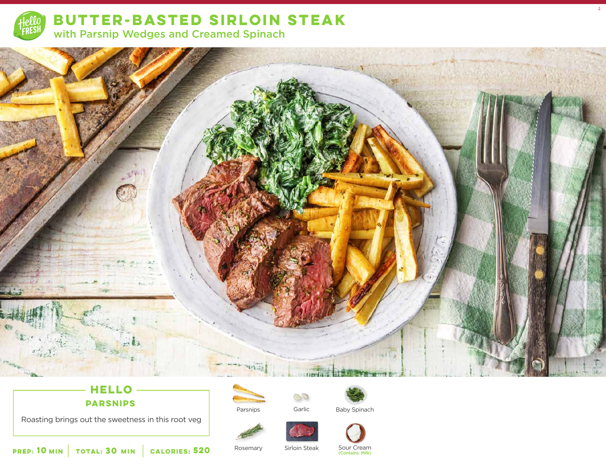

**BUTTER-BASTED SIRLOIN STEAK**  with Parsnip Wedges and Creamed Spinach



# **HELLO PARSNIPS**

Roasting brings out the sweetness in this root veg



 $\mathbb{C}^{\mathbb{C}}$ 



2

Parsnips Garlic Baby Spinach





**10** MIN | TOTAL: **30** MIN | CALORIES:

**520** Rosemary Sirloin Steak Sour Cream<br>Contains: Milk)